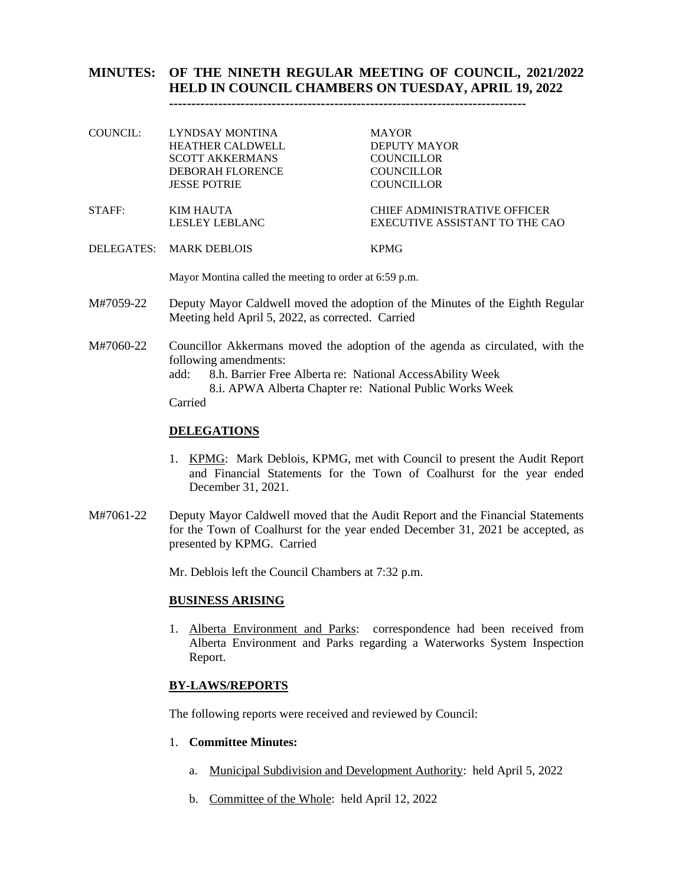### **MINUTES: OF THE NINETH REGULAR MEETING OF COUNCIL, 2021/2022 HELD IN COUNCIL CHAMBERS ON TUESDAY, APRIL 19, 2022 --------------------------------------------------------------------------------**

| COUNCIL: | LYNDSAY MONTINA                       | <b>MAYOR</b>                   |
|----------|---------------------------------------|--------------------------------|
|          | <b>HEATHER CALDWELL</b>               | <b>DEPUTY MAYOR</b>            |
|          | <b>SCOTT AKKERMANS</b>                | <b>COUNCILLOR</b>              |
|          | DEBORAH FLORENCE                      | <b>COUNCILLOR</b>              |
|          | <b>JESSE POTRIE</b>                   | <b>COUNCILLOR</b>              |
| STAFF:   | KIM HAUTA                             | CHIEF ADMINISTRATIVE OFFICER   |
|          | LESLEY LEBLANC                        | EXECUTIVE ASSISTANT TO THE CAO |
|          | <b>DELECTER</b> <i>MURIE</i> REDI OIC | T T N Y G                      |

DELEGATES: MARK DEBLOIS KPMG

Mayor Montina called the meeting to order at 6:59 p.m.

- M#7059-22 Deputy Mayor Caldwell moved the adoption of the Minutes of the Eighth Regular Meeting held April 5, 2022, as corrected. Carried
- M#7060-22 Councillor Akkermans moved the adoption of the agenda as circulated, with the following amendments:

add: 8.h. Barrier Free Alberta re: National AccessAbility Week 8.i. APWA Alberta Chapter re: National Public Works Week

Carried

## **DELEGATIONS**

- 1. KPMG: Mark Deblois, KPMG, met with Council to present the Audit Report and Financial Statements for the Town of Coalhurst for the year ended December 31, 2021.
- M#7061-22 Deputy Mayor Caldwell moved that the Audit Report and the Financial Statements for the Town of Coalhurst for the year ended December 31, 2021 be accepted, as presented by KPMG. Carried

Mr. Deblois left the Council Chambers at 7:32 p.m.

## **BUSINESS ARISING**

1. Alberta Environment and Parks: correspondence had been received from Alberta Environment and Parks regarding a Waterworks System Inspection Report.

## **BY-LAWS/REPORTS**

The following reports were received and reviewed by Council:

## 1. **Committee Minutes:**

- a. Municipal Subdivision and Development Authority: held April 5, 2022
- b. Committee of the Whole: held April 12, 2022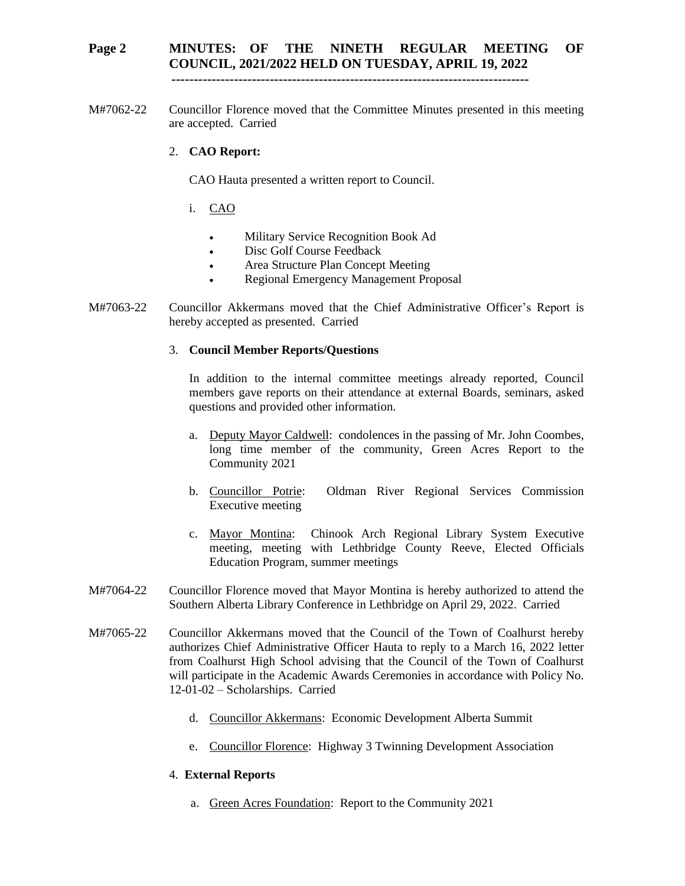## **Page 2 MINUTES: OF THE NINETH REGULAR MEETING OF COUNCIL, 2021/2022 HELD ON TUESDAY, APRIL 19, 2022**

 **--------------------------------------------------------------------------------**

M#7062-22 Councillor Florence moved that the Committee Minutes presented in this meeting are accepted. Carried

#### 2. **CAO Report:**

CAO Hauta presented a written report to Council.

- i. CAO
	- Military Service Recognition Book Ad
	- Disc Golf Course Feedback
	- Area Structure Plan Concept Meeting
	- Regional Emergency Management Proposal
- M#7063-22 Councillor Akkermans moved that the Chief Administrative Officer's Report is hereby accepted as presented. Carried

#### 3. **Council Member Reports/Questions**

In addition to the internal committee meetings already reported, Council members gave reports on their attendance at external Boards, seminars, asked questions and provided other information.

- a. Deputy Mayor Caldwell: condolences in the passing of Mr. John Coombes, long time member of the community, Green Acres Report to the Community 2021
- b. Councillor Potrie: Oldman River Regional Services Commission Executive meeting
- c. Mayor Montina: Chinook Arch Regional Library System Executive meeting, meeting with Lethbridge County Reeve, Elected Officials Education Program, summer meetings
- M#7064-22 Councillor Florence moved that Mayor Montina is hereby authorized to attend the Southern Alberta Library Conference in Lethbridge on April 29, 2022. Carried
- M#7065-22 Councillor Akkermans moved that the Council of the Town of Coalhurst hereby authorizes Chief Administrative Officer Hauta to reply to a March 16, 2022 letter from Coalhurst High School advising that the Council of the Town of Coalhurst will participate in the Academic Awards Ceremonies in accordance with Policy No. 12-01-02 – Scholarships. Carried
	- d. Councillor Akkermans: Economic Development Alberta Summit
	- e. Councillor Florence: Highway 3 Twinning Development Association

### 4. **External Reports**

a. Green Acres Foundation: Report to the Community 2021